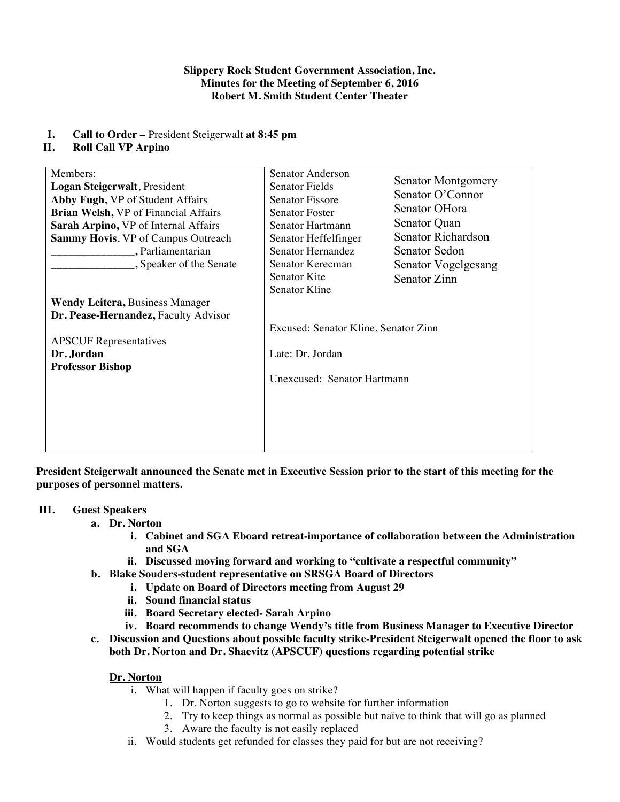## **Slippery Rock Student Government Association, Inc. Minutes for the Meeting of September 6, 2016 Robert M. Smith Student Center Theater**

# **I. Call to Order –** President Steigerwalt **at 8:45 pm**

# **II. Roll Call VP Arpino**

| Members:<br>Logan Steigerwalt, President<br>Abby Fugh, VP of Student Affairs<br>Brian Welsh, VP of Financial Affairs<br>Sarah Arpino, VP of Internal Affairs<br>Sammy Hovis, VP of Campus Outreach<br>, Parliamentarian<br>, Speaker of the Senate<br><b>Wendy Leitera, Business Manager</b> | Senator Anderson<br>Senator Fields<br><b>Senator Fissore</b><br><b>Senator Foster</b><br>Senator Hartmann<br>Senator Heffelfinger<br>Senator Hernandez<br>Senator Kerecman<br>Senator Kite<br>Senator Kline | <b>Senator Montgomery</b><br>Senator O'Connor<br>Senator OHora<br>Senator Quan<br>Senator Richardson<br><b>Senator Sedon</b><br>Senator Vogelgesang<br>Senator Zinn |
|----------------------------------------------------------------------------------------------------------------------------------------------------------------------------------------------------------------------------------------------------------------------------------------------|-------------------------------------------------------------------------------------------------------------------------------------------------------------------------------------------------------------|---------------------------------------------------------------------------------------------------------------------------------------------------------------------|
| Dr. Pease-Hernandez, Faculty Advisor<br><b>APSCUF</b> Representatives<br>Dr. Jordan<br><b>Professor Bishop</b>                                                                                                                                                                               | Excused: Senator Kline, Senator Zinn<br>Late: Dr. Jordan<br>Unexcused: Senator Hartmann                                                                                                                     |                                                                                                                                                                     |

**President Steigerwalt announced the Senate met in Executive Session prior to the start of this meeting for the purposes of personnel matters.**

# **III. Guest Speakers**

- **a. Dr. Norton**
	- **i. Cabinet and SGA Eboard retreat-importance of collaboration between the Administration and SGA**
	- **ii. Discussed moving forward and working to "cultivate a respectful community"**
- **b. Blake Souders-student representative on SRSGA Board of Directors**
	- **i. Update on Board of Directors meeting from August 29**
	- **ii. Sound financial status**
	- **iii. Board Secretary elected- Sarah Arpino**
	- **iv. Board recommends to change Wendy's title from Business Manager to Executive Director**
- **c. Discussion and Questions about possible faculty strike-President Steigerwalt opened the floor to ask both Dr. Norton and Dr. Shaevitz (APSCUF) questions regarding potential strike**

# **Dr. Norton**

- i. What will happen if faculty goes on strike?
	- 1. Dr. Norton suggests to go to website for further information
	- 2. Try to keep things as normal as possible but naïve to think that will go as planned
	- 3. Aware the faculty is not easily replaced
- ii. Would students get refunded for classes they paid for but are not receiving?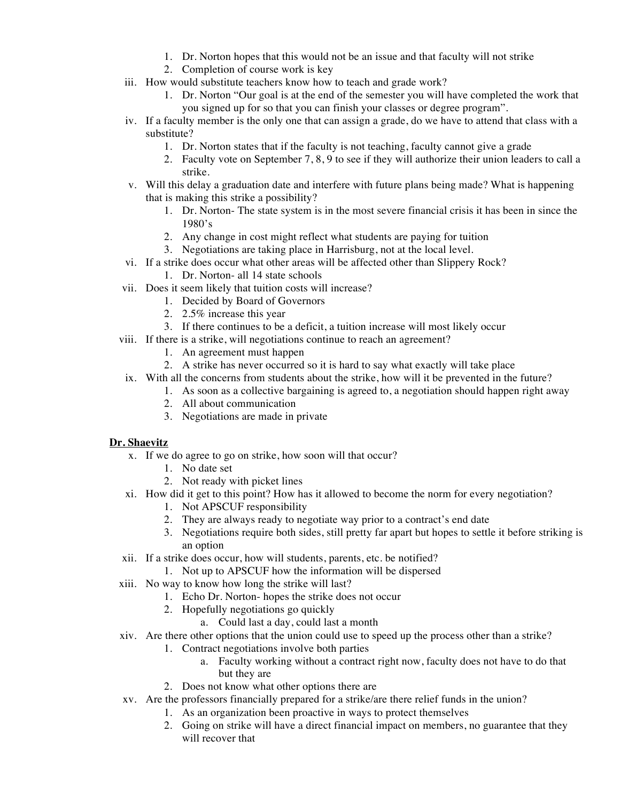- 1. Dr. Norton hopes that this would not be an issue and that faculty will not strike
- 2. Completion of course work is key
- iii. How would substitute teachers know how to teach and grade work?
	- 1. Dr. Norton "Our goal is at the end of the semester you will have completed the work that you signed up for so that you can finish your classes or degree program".
- iv. If a faculty member is the only one that can assign a grade, do we have to attend that class with a substitute?
	- 1. Dr. Norton states that if the faculty is not teaching, faculty cannot give a grade
	- 2. Faculty vote on September 7, 8, 9 to see if they will authorize their union leaders to call a strike.
- v. Will this delay a graduation date and interfere with future plans being made? What is happening that is making this strike a possibility?
	- 1. Dr. Norton- The state system is in the most severe financial crisis it has been in since the 1980's
	- 2. Any change in cost might reflect what students are paying for tuition
	- 3. Negotiations are taking place in Harrisburg, not at the local level.
- vi. If a strike does occur what other areas will be affected other than Slippery Rock?
	- 1. Dr. Norton- all 14 state schools
- vii. Does it seem likely that tuition costs will increase?
	- 1. Decided by Board of Governors
	- 2. 2.5% increase this year
	- 3. If there continues to be a deficit, a tuition increase will most likely occur
- viii. If there is a strike, will negotiations continue to reach an agreement?
	- 1. An agreement must happen
	- 2. A strike has never occurred so it is hard to say what exactly will take place
- ix. With all the concerns from students about the strike, how will it be prevented in the future?
	- 1. As soon as a collective bargaining is agreed to, a negotiation should happen right away
	- 2. All about communication
	- 3. Negotiations are made in private

# **Dr. Shaevitz**

- x. If we do agree to go on strike, how soon will that occur?
	- 1. No date set
	- 2. Not ready with picket lines
- xi. How did it get to this point? How has it allowed to become the norm for every negotiation?
	- 1. Not APSCUF responsibility
	- 2. They are always ready to negotiate way prior to a contract's end date
	- 3. Negotiations require both sides, still pretty far apart but hopes to settle it before striking is an option
- xii. If a strike does occur, how will students, parents, etc. be notified?
	- 1. Not up to APSCUF how the information will be dispersed
- xiii. No way to know how long the strike will last?
	- 1. Echo Dr. Norton- hopes the strike does not occur
	- 2. Hopefully negotiations go quickly
		- a. Could last a day, could last a month
- xiv. Are there other options that the union could use to speed up the process other than a strike?
	- 1. Contract negotiations involve both parties
		- a. Faculty working without a contract right now, faculty does not have to do that but they are
	- 2. Does not know what other options there are
- xv. Are the professors financially prepared for a strike/are there relief funds in the union?
	- 1. As an organization been proactive in ways to protect themselves
		- 2. Going on strike will have a direct financial impact on members, no guarantee that they will recover that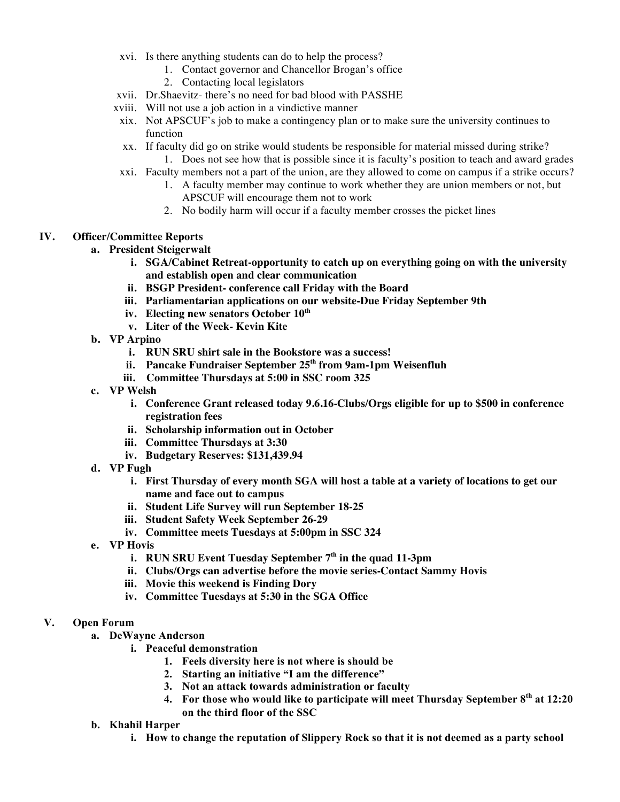- xvi. Is there anything students can do to help the process?
	- 1. Contact governor and Chancellor Brogan's office
	- 2. Contacting local legislators
- xvii. Dr.Shaevitz- there's no need for bad blood with PASSHE
- xviii. Will not use a job action in a vindictive manner
- xix. Not APSCUF's job to make a contingency plan or to make sure the university continues to function
- xx. If faculty did go on strike would students be responsible for material missed during strike?
	- 1. Does not see how that is possible since it is faculty's position to teach and award grades
- xxi. Faculty members not a part of the union, are they allowed to come on campus if a strike occurs?
	- 1. A faculty member may continue to work whether they are union members or not, but APSCUF will encourage them not to work
	- 2. No bodily harm will occur if a faculty member crosses the picket lines

# **IV. Officer/Committee Reports**

- **a. President Steigerwalt**
	- **i. SGA/Cabinet Retreat-opportunity to catch up on everything going on with the university and establish open and clear communication**
	- **ii. BSGP President- conference call Friday with the Board**
	- **iii. Parliamentarian applications on our website-Due Friday September 9th**
	- **iv. Electing new senators October 10th**
	- **v. Liter of the Week- Kevin Kite**
- **b. VP Arpino**
	- **i. RUN SRU shirt sale in the Bookstore was a success!**
	- **ii. Pancake Fundraiser September 25th from 9am-1pm Weisenfluh**
	- **iii. Committee Thursdays at 5:00 in SSC room 325**
- **c. VP Welsh**
	- **i. Conference Grant released today 9.6.16-Clubs/Orgs eligible for up to \$500 in conference registration fees**
	- **ii. Scholarship information out in October**
	- **iii. Committee Thursdays at 3:30**
	- **iv. Budgetary Reserves: \$131,439.94**
- **d. VP Fugh**
	- **i. First Thursday of every month SGA will host a table at a variety of locations to get our name and face out to campus**
	- **ii. Student Life Survey will run September 18-25**
	- **iii. Student Safety Week September 26-29**
	- **iv. Committee meets Tuesdays at 5:00pm in SSC 324**
- **e. VP Hovis**
	- **i. RUN SRU Event Tuesday September 7th in the quad 11-3pm**
	- **ii. Clubs/Orgs can advertise before the movie series-Contact Sammy Hovis**
	- **iii. Movie this weekend is Finding Dory**
	- **iv. Committee Tuesdays at 5:30 in the SGA Office**

#### **V. Open Forum**

- **a. DeWayne Anderson**
	- **i. Peaceful demonstration**
		- **1. Feels diversity here is not where is should be**
		- **2. Starting an initiative "I am the difference"**
		- **3. Not an attack towards administration or faculty**
		- **4. For those who would like to participate will meet Thursday September 8th at 12:20 on the third floor of the SSC**

# **b. Khahil Harper**

**i. How to change the reputation of Slippery Rock so that it is not deemed as a party school**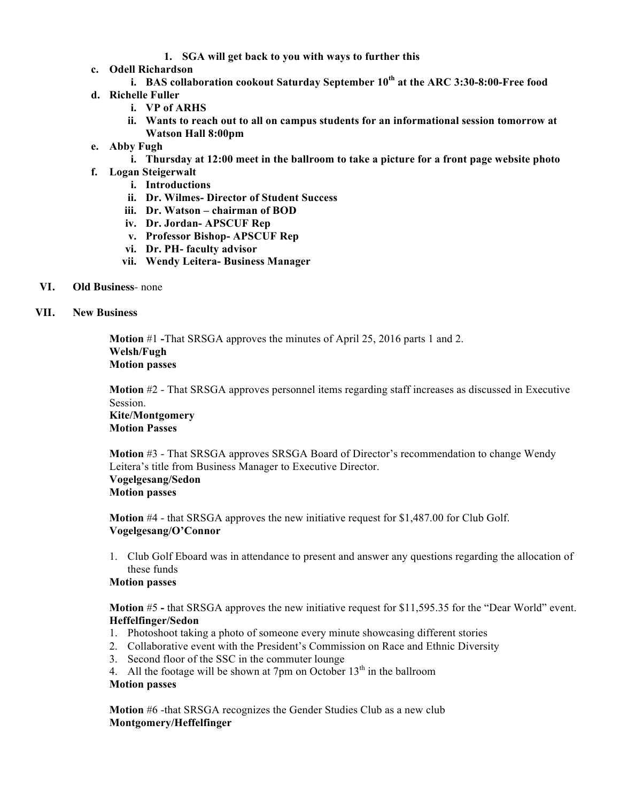- **1. SGA will get back to you with ways to further this**
- **c. Odell Richardson**
	- **i. BAS collaboration cookout Saturday September 10th at the ARC 3:30-8:00-Free food**
- **d. Richelle Fuller**
	- **i. VP of ARHS**
	- **ii. Wants to reach out to all on campus students for an informational session tomorrow at Watson Hall 8:00pm**
- **e. Abby Fugh**
	- **i. Thursday at 12:00 meet in the ballroom to take a picture for a front page website photo**
- **f. Logan Steigerwalt** 
	- **i. Introductions**
	- **ii. Dr. Wilmes- Director of Student Success**
	- **iii. Dr. Watson – chairman of BOD**
	- **iv. Dr. Jordan- APSCUF Rep**
	- **v. Professor Bishop- APSCUF Rep**
	- **vi. Dr. PH- faculty advisor**
	- **vii. Wendy Leitera- Business Manager**
- **VI. Old Business** none
- **VII. New Business**

**Motion** #1 **-**That SRSGA approves the minutes of April 25, 2016 parts 1 and 2. **Welsh/Fugh Motion passes**

**Motion** #2 - That SRSGA approves personnel items regarding staff increases as discussed in Executive Session.

# **Kite/Montgomery Motion Passes**

**Motion** #3 - That SRSGA approves SRSGA Board of Director's recommendation to change Wendy Leitera's title from Business Manager to Executive Director. **Vogelgesang/Sedon Motion passes**

**Motion** #4 - that SRSGA approves the new initiative request for \$1,487.00 for Club Golf. **Vogelgesang/O'Connor** 

1. Club Golf Eboard was in attendance to present and answer any questions regarding the allocation of these funds

# **Motion passes**

**Motion** #5 **-** that SRSGA approves the new initiative request for \$11,595.35 for the "Dear World" event. **Heffelfinger/Sedon**

- 1. Photoshoot taking a photo of someone every minute showcasing different stories
- 2. Collaborative event with the President's Commission on Race and Ethnic Diversity
- 3. Second floor of the SSC in the commuter lounge
- 4. All the footage will be shown at 7pm on October  $13<sup>th</sup>$  in the ballroom

# **Motion passes**

**Motion** #6 -that SRSGA recognizes the Gender Studies Club as a new club **Montgomery/Heffelfinger**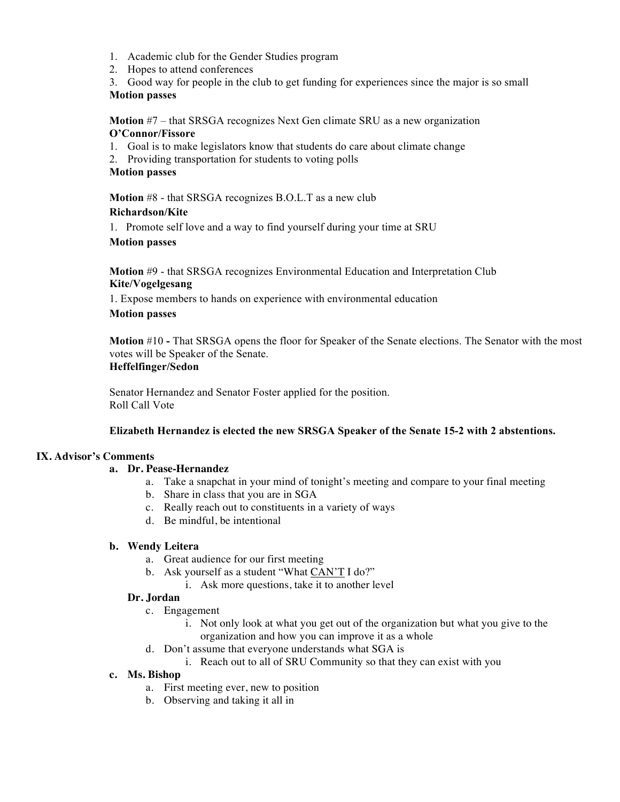- 1. Academic club for the Gender Studies program
- 2. Hopes to attend conferences
- 3. Good way for people in the club to get funding for experiences since the major is so small **Motion passes**

**Motion** #7 – that SRSGA recognizes Next Gen climate SRU as a new organization **O'Connor/Fissore** 

- 1. Goal is to make legislators know that students do care about climate change
- 2. Providing transportation for students to voting polls

#### **Motion passes**

**Motion** #8 - that SRSGA recognizes B.O.L.T as a new club

#### **Richardson/Kite**

1. Promote self love and a way to find yourself during your time at SRU

#### **Motion passes**

**Motion** #9 - that SRSGA recognizes Environmental Education and Interpretation Club **Kite/Vogelgesang**

1. Expose members to hands on experience with environmental education

#### **Motion passes**

**Motion** #10 **-** That SRSGA opens the floor for Speaker of the Senate elections. The Senator with the most votes will be Speaker of the Senate.

# **Heffelfinger/Sedon**

Senator Hernandez and Senator Foster applied for the position. Roll Call Vote

#### **Elizabeth Hernandez is elected the new SRSGA Speaker of the Senate 15-2 with 2 abstentions.**

# **IX. Advisor's Comments**

#### **a. Dr. Pease-Hernandez**

- a. Take a snapchat in your mind of tonight's meeting and compare to your final meeting
- b. Share in class that you are in SGA
- c. Really reach out to constituents in a variety of ways
- d. Be mindful, be intentional

#### **b. Wendy Leitera**

- a. Great audience for our first meeting
- b. Ask yourself as a student "What CAN'T I do?"
	- i. Ask more questions, take it to another level

#### **Dr. Jordan**

- c. Engagement
	- i. Not only look at what you get out of the organization but what you give to the organization and how you can improve it as a whole
- d. Don't assume that everyone understands what SGA is
	- i. Reach out to all of SRU Community so that they can exist with you

# **c. Ms. Bishop**

- a. First meeting ever, new to position
- b. Observing and taking it all in